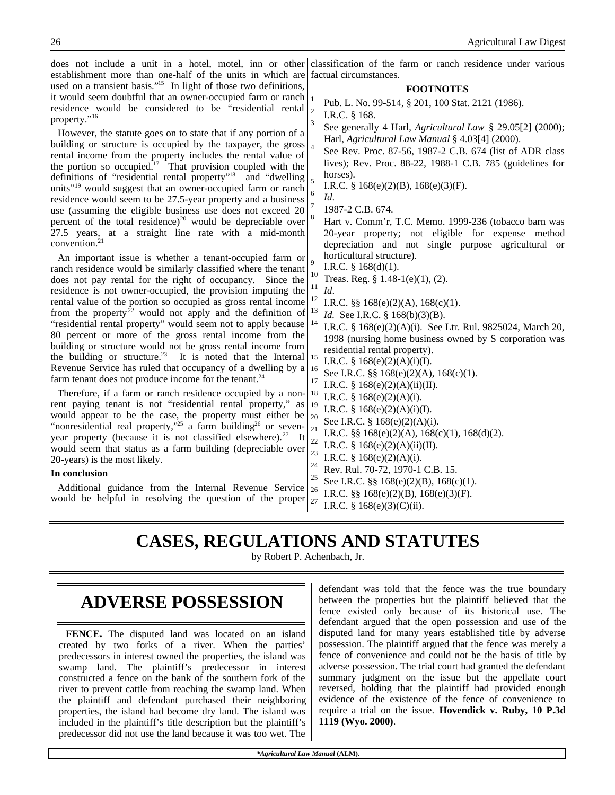does not include a unit in a hotel, motel, inn or other establishment more than one-half of the units in which are used on a transient basis."<sup>15</sup> In light of those two definitions, it would seem doubtful that an owner-occupied farm or ranch residence would be considered to be "residential rental property."<sup>16</sup> However, the statute goes on to state that if any portion of a building or structure is occupied by the taxpayer, the gross rental income from the property includes the rental value of the portion so occupied.<sup>17</sup> That provision coupled with the definitions of "residential rental property"<sup>18</sup> and "dwelling units"<sup>19</sup> would suggest that an owner-occupied farm or ranch residence would seem to be 27.5-year property and a business use (assuming the eligible business use does not exceed 20 percent of the total residence)<sup>20</sup> would be depreciable over 27.5 years, at a straight line rate with a mid-month convention.<sup>21</sup> An important issue is whether a tenant-occupied farm or ranch residence would be similarly classified where the tenant does not pay rental for the right of occupancy. Since the residence is not owner-occupied, the provision imputing the rental value of the portion so occupied as gross rental income from the property<sup>22</sup> would not apply and the definition of "residential rental property" would seem not to apply because 80 percent or more of the gross rental income from the building or structure would not be gross rental income from the building or structure.<sup>23</sup> It is noted that the Internal Revenue Service has ruled that occupancy of a dwelling by a farm tenant does not produce income for the tenant.<sup>24</sup> Therefore, if a farm or ranch residence occupied by a nonrent paying tenant is not "residential rental property," as would appear to be the case, the property must either be "nonresidential real property,"<sup>25</sup> a farm building<sup>26</sup> or sevenyear property (because it is not classified elsewhere).<sup>27</sup> It would seem that status as a farm building (depreciable over 20-years) is the most likely. **In conclusion** Additional guidance from the Internal Revenue Service would be helpful in resolving the question of the proper classification of the farm or ranch residence under various factual circumstances. **FOOTNOTES** 1 Pub. L. No. 99-514, § 201, 100 Stat. 2121 (1986). 2 I.R.C. § 168. 3 See generally 4 Harl, *Agricultural Law* § 29.05[2] (2000); Harl, *Agricultural Law Manual* § 4.03[4] (2000). 4 See Rev. Proc. 87-56, 1987-2 C.B. 674 (list of ADR class lives); Rev. Proc. 88-22, 1988-1 C.B. 785 (guidelines for horses). 5 I.R.C. §  $168(e)(2)(B)$ ,  $168(e)(3)(F)$ . 6 *Id*. 7 1987-2 C.B. 674. Hart v. Comm'r, T.C. Memo. 1999-236 (tobacco barn was 20-year property; not eligible for expense method depreciation and not single purpose agricultural or horticultural structure). 9 I.R.C.  $\S$  168(d)(1).  $^{10}$  Treas. Reg. § 1.48-1(e)(1), (2).  $\frac{11}{12}$  *Id.* <sup>12</sup> I.R.C. §§ 168(e)(2)(A), 168(c)(1).<br><sup>13</sup> Id See I.B.C. § 168(b)(3)(B) <sup>13</sup> *Id.* See I.R.C. § 168(b)(3)(B).<br><sup>14</sup> J.D.C. § 168(c)(2)(A)(i), Sec. <sup>14</sup> I.R.C. § 168(e)(2)(A)(i). See Ltr. Rul. 9825024, March 20, 1998 (nursing home business owned by S corporation was residential rental property). <sup>15</sup> I.R.C. § 168(e)(2)(A)(i)(I). <sup>16</sup> See I.R.C. §§ 168(e)(2)(A), 168(c)(1). <sup>17</sup> I.R.C. § 168(e)(2)(A)(ii)(II).<br><sup>18</sup> I.D.C. § 168(e)(2)(A)(i). <sup>18</sup> I.R.C. § 168(e)(2)(A)(i). <sup>19</sup> I.R.C. § 168(e)(2)(A)(i)(I).<br><sup>20</sup> S = **J.D.C.** § 168(c)(2)(A)(i) <sup>20</sup> See I.R.C. § 168(e)(2)(A)(i).<br><sup>21</sup> J.D.C. <sup>88</sup> 168(c)(2)(A), 168( <sup>21</sup> I.R.C. §§ 168(e)(2)(A), 168(c)(1), 168(d)(2).<br><sup>22</sup> I.D.C. § 168(c)(2)(A)(;;)(I) <sup>22</sup> I.R.C. § 168(e)(2)(A)(ii)(II).<br><sup>23</sup> I.D.C. § 168(c)(2)(A)(b). <sup>23</sup> I.R.C. § 168(e)(2)(A)(i).<br><sup>24</sup> P. - P. 1.78.73.1878.1 <sup>24</sup> Rev. Rul. 70-72, 1970-1 C.B. 15.<br><sup>25</sup> S.c. J.D.G. <sup>88</sup> 168(c)(2)(D), 168(c) <sup>25</sup> See I.R.C. §§ 168(e)(2)(B), 168(c)(1).<br><sup>26</sup> J.D.G. §§ 168(c)(2)(D), 168(c)(2)(F). <sup>26</sup> I.R.C. §§ 168(e)(2)(B), 168(e)(3)(F).<br><sup>27</sup> I.B.C. § 168(e)(3)(C)(;;) I.R.C.  $§$  168(e)(3)(C)(ii).

# **CASES, REGULATIONS AND STATUTES**

by Robert P. Achenbach, Jr.

# **ADVERSE POSSESSION**

**FENCE.** The disputed land was located on an island created by two forks of a river. When the parties' predecessors in interest owned the properties, the island was swamp land. The plaintiff's predecessor in interest constructed a fence on the bank of the southern fork of the river to prevent cattle from reaching the swamp land. When the plaintiff and defendant purchased their neighboring properties, the island had become dry land. The island was included in the plaintiff's title description but the plaintiff's predecessor did not use the land because it was too wet. The

defendant was told that the fence was the true boundary between the properties but the plaintiff believed that the fence existed only because of its historical use. The defendant argued that the open possession and use of the disputed land for many years established title by adverse possession. The plaintiff argued that the fence was merely a fence of convenience and could not be the basis of title by adverse possession. The trial court had granted the defendant summary judgment on the issue but the appellate court reversed, holding that the plaintiff had provided enough evidence of the existence of the fence of convenience to require a trial on the issue. **Hovendick v. Ruby, 10 P.3d 1119 (Wyo. 2000)**.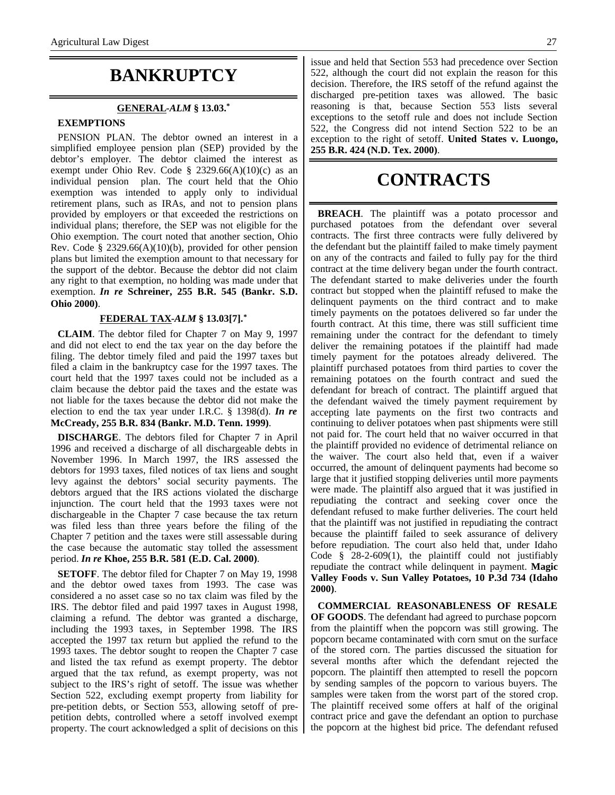## **BANKRUPTCY**

#### **GENERAL -***ALM* **§ 13.03.\***

### **EXEMPTIONS**

PENSION PLAN. The debtor owned an interest in a simplified employee pension plan (SEP) provided by the debtor's employer. The debtor claimed the interest as exempt under Ohio Rev. Code § 2329.66(A)(10)(c) as an individual pension plan. The court held that the Ohio exemption was intended to apply only to individual retirement plans, such as IRAs, and not to pension plans provided by employers or that exceeded the restrictions on individual plans; therefore, the SEP was not eligible for the Ohio exemption. The court noted that another section, Ohio Rev. Code § 2329.66(A)(10)(b), provided for other pension plans but limited the exemption amount to that necessary for the support of the debtor. Because the debtor did not claim any right to that exemption, no holding was made under that exemption. *In re* **Schreiner, 255 B.R. 545 (Bankr. S.D. Ohio 2000)**.

### **FEDERAL TAX -***ALM* **§ 13.03[7].\***

**CLAIM**. The debtor filed for Chapter 7 on May 9, 1997 and did not elect to end the tax year on the day before the filing. The debtor timely filed and paid the 1997 taxes but filed a claim in the bankruptcy case for the 1997 taxes. The court held that the 1997 taxes could not be included as a claim because the debtor paid the taxes and the estate was not liable for the taxes because the debtor did not make the election to end the tax year under I.R.C. § 1398(d). *In re* **McCready, 255 B.R. 834 (Bankr. M.D. Tenn. 1999)**.

**DISCHARGE**. The debtors filed for Chapter 7 in April 1996 and received a discharge of all dischargeable debts in November 1996. In March 1997, the IRS assessed the debtors for 1993 taxes, filed notices of tax liens and sought levy against the debtors' social security payments. The debtors argued that the IRS actions violated the discharge injunction. The court held that the 1993 taxes were not dischargeable in the Chapter 7 case because the tax return was filed less than three years before the filing of the Chapter 7 petition and the taxes were still assessable during the case because the automatic stay tolled the assessment period. *In re* **Khoe, 255 B.R. 581 (E.D. Cal. 2000)**.

**SETOFF**. The debtor filed for Chapter 7 on May 19, 1998 and the debtor owed taxes from 1993. The case was considered a no asset case so no tax claim was filed by the IRS. The debtor filed and paid 1997 taxes in August 1998, claiming a refund. The debtor was granted a discharge, including the 1993 taxes, in September 1998. The IRS accepted the 1997 tax return but applied the refund to the 1993 taxes. The debtor sought to reopen the Chapter 7 case and listed the tax refund as exempt property. The debtor argued that the tax refund, as exempt property, was not subject to the IRS's right of setoff. The issue was whether Section 522, excluding exempt property from liability for pre-petition debts, or Section 553, allowing setoff of prepetition debts, controlled where a setoff involved exempt property. The court acknowledged a split of decisions on this

issue and held that Section 553 had precedence over Section 522, although the court did not explain the reason for this decision. Therefore, the IRS setoff of the refund against the discharged pre-petition taxes was allowed. The basic reasoning is that, because Section 553 lists several exceptions to the setoff rule and does not include Section 522, the Congress did not intend Section 522 to be an exception to the right of setoff. **United States v. Luongo, 255 B.R. 424 (N.D. Tex. 2000)**.

# **CONTRACTS**

**BREACH**. The plaintiff was a potato processor and purchased potatoes from the defendant over several contracts. The first three contracts were fully delivered by the defendant but the plaintiff failed to make timely payment on any of the contracts and failed to fully pay for the third contract at the time delivery began under the fourth contract. The defendant started to make deliveries under the fourth contract but stopped when the plaintiff refused to make the delinquent payments on the third contract and to make timely payments on the potatoes delivered so far under the fourth contract. At this time, there was still sufficient time remaining under the contract for the defendant to timely deliver the remaining potatoes if the plaintiff had made timely payment for the potatoes already delivered. The plaintiff purchased potatoes from third parties to cover the remaining potatoes on the fourth contract and sued the defendant for breach of contract. The plaintiff argued that the defendant waived the timely payment requirement by accepting late payments on the first two contracts and continuing to deliver potatoes when past shipments were still not paid for. The court held that no waiver occurred in that the plaintiff provided no evidence of detrimental reliance on the waiver. The court also held that, even if a waiver occurred, the amount of delinquent payments had become so large that it justified stopping deliveries until more payments were made. The plaintiff also argued that it was justified in repudiating the contract and seeking cover once the defendant refused to make further deliveries. The court held that the plaintiff was not justified in repudiating the contract because the plaintiff failed to seek assurance of delivery before repudiation. The court also held that, under Idaho Code  $\frac{8}{3}$  28-2-609(1), the plaintiff could not justifiably repudiate the contract while delinquent in payment. **Magic Valley Foods v. Sun Valley Potatoes, 10 P.3d 734 (Idaho 2000)**.

**COMMERCIAL REASONABLENESS OF RESALE OF GOODS**. The defendant had agreed to purchase popcorn from the plaintiff when the popcorn was still growing. The popcorn became contaminated with corn smut on the surface of the stored corn. The parties discussed the situation for several months after which the defendant rejected the popcorn. The plaintiff then attempted to resell the popcorn by sending samples of the popcorn to various buyers. The samples were taken from the worst part of the stored crop. The plaintiff received some offers at half of the original contract price and gave the defendant an option to purchase the popcorn at the highest bid price. The defendant refused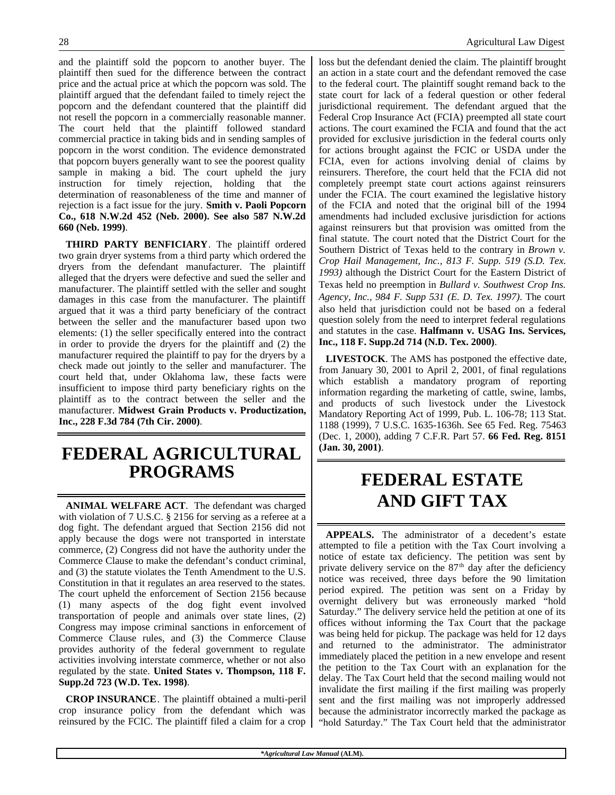and the plaintiff sold the popcorn to another buyer. The plaintiff then sued for the difference between the contract price and the actual price at which the popcorn was sold. The plaintiff argued that the defendant failed to timely reject the popcorn and the defendant countered that the plaintiff did not resell the popcorn in a commercially reasonable manner. The court held that the plaintiff followed standard commercial practice in taking bids and in sending samples of popcorn in the worst condition. The evidence demonstrated that popcorn buyers generally want to see the poorest quality sample in making a bid. The court upheld the jury instruction for timely rejection, holding that the determination of reasonableness of the time and manner of rejection is a fact issue for the jury. **Smith v. Paoli Popcorn Co., 618 N.W.2d 452 (Neb. 2000). See also 587 N.W.2d 660 (Neb. 1999)**.

**THIRD PARTY BENFICIARY**. The plaintiff ordered two grain dryer systems from a third party which ordered the dryers from the defendant manufacturer. The plaintiff alleged that the dryers were defective and sued the seller and manufacturer. The plaintiff settled with the seller and sought damages in this case from the manufacturer. The plaintiff argued that it was a third party beneficiary of the contract between the seller and the manufacturer based upon two elements: (1) the seller specifically entered into the contract in order to provide the dryers for the plaintiff and (2) the manufacturer required the plaintiff to pay for the dryers by a check made out jointly to the seller and manufacturer. The court held that, under Oklahoma law, these facts were insufficient to impose third party beneficiary rights on the plaintiff as to the contract between the seller and the manufacturer. **Midwest Grain Products v. Productization, Inc., 228 F.3d 784 (7th Cir. 2000)**.

# **FEDERAL AGRICULTURAL PROGRAMS**

**ANIMAL WELFARE ACT**. The defendant was charged with violation of 7 U.S.C. § 2156 for serving as a referee at a dog fight. The defendant argued that Section 2156 did not apply because the dogs were not transported in interstate commerce, (2) Congress did not have the authority under the Commerce Clause to make the defendant's conduct criminal, and (3) the statute violates the Tenth Amendment to the U.S. Constitution in that it regulates an area reserved to the states. The court upheld the enforcement of Section 2156 because (1) many aspects of the dog fight event involved transportation of people and animals over state lines, (2) Congress may impose criminal sanctions in enforcement of Commerce Clause rules, and (3) the Commerce Clause provides authority of the federal government to regulate activities involving interstate commerce, whether or not also regulated by the state. **United States v. Thompson, 118 F. Supp.2d 723 (W.D. Tex. 1998)**.

**CROP INSURANCE**. The plaintiff obtained a multi-peril crop insurance policy from the defendant which was reinsured by the FCIC. The plaintiff filed a claim for a crop

loss but the defendant denied the claim. The plaintiff brought an action in a state court and the defendant removed the case to the federal court. The plaintiff sought remand back to the state court for lack of a federal question or other federal jurisdictional requirement. The defendant argued that the Federal Crop Insurance Act (FCIA) preempted all state court actions. The court examined the FCIA and found that the act provided for exclusive jurisdiction in the federal courts only for actions brought against the FCIC or USDA under the FCIA, even for actions involving denial of claims by reinsurers. Therefore, the court held that the FCIA did not completely preempt state court actions against reinsurers under the FCIA. The court examined the legislative history of the FCIA and noted that the original bill of the 1994 amendments had included exclusive jurisdiction for actions against reinsurers but that provision was omitted from the final statute. The court noted that the District Court for the Southern District of Texas held to the contrary in *Brown v. Crop Hail Management, Inc., 813 F. Supp. 519 (S.D. Tex. 1993)* although the District Court for the Eastern District of Texas held no preemption in *Bullard v. Southwest Crop Ins. Agency, Inc., 984 F. Supp 531 (E. D. Tex. 1997)*. The court also held that jurisdiction could not be based on a federal question solely from the need to interpret federal regulations and statutes in the case. **Halfmann v. USAG Ins. Services, Inc., 118 F. Supp.2d 714 (N.D. Tex. 2000)**.

**LIVESTOCK**. The AMS has postponed the effective date, from January 30, 2001 to April 2, 2001, of final regulations which establish a mandatory program of reporting information regarding the marketing of cattle, swine, lambs, and products of such livestock under the Livestock Mandatory Reporting Act of 1999, Pub. L. 106-78; 113 Stat. 1188 (1999), 7 U.S.C. 1635-1636h. See 65 Fed. Reg. 75463 (Dec. 1, 2000), adding 7 C.F.R. Part 57. **66 Fed. Reg. 8151 (Jan. 30, 2001)**.

# **FEDERAL ESTATE AND GIFT TAX**

**APPEALS.** The administrator of a decedent's estate attempted to file a petition with the Tax Court involving a notice of estate tax deficiency. The petition was sent by private delivery service on the  $87<sup>th</sup>$  day after the deficiency notice was received, three days before the 90 limitation period expired. The petition was sent on a Friday by overnight delivery but was erroneously marked "hold Saturday." The delivery service held the petition at one of its offices without informing the Tax Court that the package was being held for pickup. The package was held for 12 days and returned to the administrator. The administrator immediately placed the petition in a new envelope and resent the petition to the Tax Court with an explanation for the delay. The Tax Court held that the second mailing would not invalidate the first mailing if the first mailing was properly sent and the first mailing was not improperly addressed because the administrator incorrectly marked the package as "hold Saturday." The Tax Court held that the administrator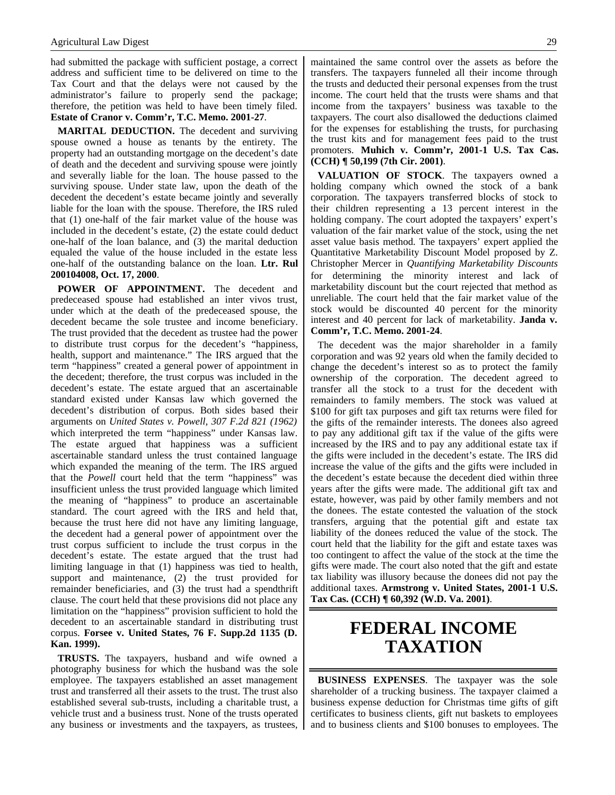had submitted the package with sufficient postage, a correct address and sufficient time to be delivered on time to the Tax Court and that the delays were not caused by the administrator's failure to properly send the package; therefore, the petition was held to have been timely filed. **Estate of Cranor v. Comm'r, T.C. Memo. 2001-27**.

**MARITAL DEDUCTION.** The decedent and surviving spouse owned a house as tenants by the entirety. The property had an outstanding mortgage on the decedent's date of death and the decedent and surviving spouse were jointly and severally liable for the loan. The house passed to the surviving spouse. Under state law, upon the death of the decedent the decedent's estate became jointly and severally liable for the loan with the spouse. Therefore, the IRS ruled that (1) one-half of the fair market value of the house was included in the decedent's estate, (2) the estate could deduct one-half of the loan balance, and (3) the marital deduction equaled the value of the house included in the estate less one-half of the outstanding balance on the loan. **Ltr. Rul 200104008, Oct. 17, 2000**.

**POWER OF APPOINTMENT.** The decedent and predeceased spouse had established an inter vivos trust, under which at the death of the predeceased spouse, the decedent became the sole trustee and income beneficiary. The trust provided that the decedent as trustee had the power to distribute trust corpus for the decedent's "happiness, health, support and maintenance." The IRS argued that the term "happiness" created a general power of appointment in the decedent; therefore, the trust corpus was included in the decedent's estate. The estate argued that an ascertainable standard existed under Kansas law which governed the decedent's distribution of corpus. Both sides based their arguments on *United States v. Powell, 307 F.2d 821 (1962)* which interpreted the term "happiness" under Kansas law. The estate argued that happiness was a sufficient ascertainable standard unless the trust contained language which expanded the meaning of the term. The IRS argued that the *Powell* court held that the term "happiness" was insufficient unless the trust provided language which limited the meaning of "happiness" to produce an ascertainable standard. The court agreed with the IRS and held that, because the trust here did not have any limiting language, the decedent had a general power of appointment over the trust corpus sufficient to include the trust corpus in the decedent's estate. The estate argued that the trust had limiting language in that (1) happiness was tied to health, support and maintenance, (2) the trust provided for remainder beneficiaries, and (3) the trust had a spendthrift clause. The court held that these provisions did not place any limitation on the "happiness" provision sufficient to hold the decedent to an ascertainable standard in distributing trust corpus. **Forsee v. United States, 76 F. Supp.2d 1135 (D. Kan. 1999).**

**TRUSTS.** The taxpayers, husband and wife owned a photography business for which the husband was the sole employee. The taxpayers established an asset management trust and transferred all their assets to the trust. The trust also established several sub-trusts, including a charitable trust, a vehicle trust and a business trust. None of the trusts operated any business or investments and the taxpayers, as trustees,

maintained the same control over the assets as before the transfers. The taxpayers funneled all their income through the trusts and deducted their personal expenses from the trust income. The court held that the trusts were shams and that income from the taxpayers' business was taxable to the taxpayers. The court also disallowed the deductions claimed for the expenses for establishing the trusts, for purchasing the trust kits and for management fees paid to the trust promoters. **Muhich v. Comm'r, 2001-1 U.S. Tax Cas. (CCH) ¶ 50,199 (7th Cir. 2001)**.

**VALUATION OF STOCK**. The taxpayers owned a holding company which owned the stock of a bank corporation. The taxpayers transferred blocks of stock to their children representing a 13 percent interest in the holding company. The court adopted the taxpayers' expert's valuation of the fair market value of the stock, using the net asset value basis method. The taxpayers' expert applied the Quantitative Marketability Discount Model proposed by Z. Christopher Mercer in *Quantifying Marketability Discounts* for determining the minority interest and lack of marketability discount but the court rejected that method as unreliable. The court held that the fair market value of the stock would be discounted 40 percent for the minority interest and 40 percent for lack of marketability. **Janda v. Comm'r, T.C. Memo. 2001-24**.

The decedent was the major shareholder in a family corporation and was 92 years old when the family decided to change the decedent's interest so as to protect the family ownership of the corporation. The decedent agreed to transfer all the stock to a trust for the decedent with remainders to family members. The stock was valued at \$100 for gift tax purposes and gift tax returns were filed for the gifts of the remainder interests. The donees also agreed to pay any additional gift tax if the value of the gifts were increased by the IRS and to pay any additional estate tax if the gifts were included in the decedent's estate. The IRS did increase the value of the gifts and the gifts were included in the decedent's estate because the decedent died within three years after the gifts were made. The additional gift tax and estate, however, was paid by other family members and not the donees. The estate contested the valuation of the stock transfers, arguing that the potential gift and estate tax liability of the donees reduced the value of the stock. The court held that the liability for the gift and estate taxes was too contingent to affect the value of the stock at the time the gifts were made. The court also noted that the gift and estate tax liability was illusory because the donees did not pay the additional taxes. **Armstrong v. United States, 2001-1 U.S. Tax Cas. (CCH) ¶ 60,392 (W.D. Va. 2001)**.

# **FEDERAL INCOME TAXATION**

**BUSINESS EXPENSES**. The taxpayer was the sole shareholder of a trucking business. The taxpayer claimed a business expense deduction for Christmas time gifts of gift certificates to business clients, gift nut baskets to employees and to business clients and \$100 bonuses to employees. The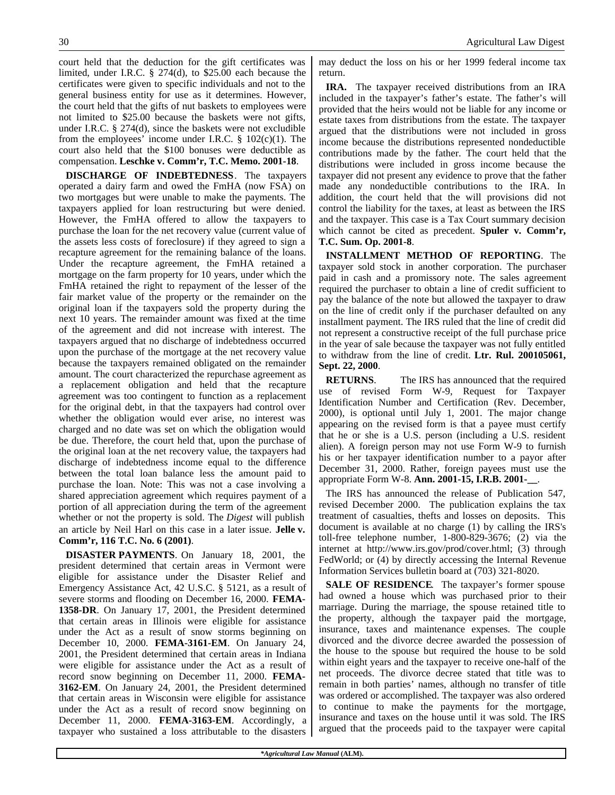court held that the deduction for the gift certificates was limited, under I.R.C. § 274(d), to \$25.00 each because the certificates were given to specific individuals and not to the general business entity for use as it determines. However, the court held that the gifts of nut baskets to employees were not limited to \$25.00 because the baskets were not gifts, under I.R.C. § 274(d), since the baskets were not excludible from the employees' income under I.R.C.  $\S$  102(c)(1). The court also held that the \$100 bonuses were deductible as compensation. **Leschke v. Comm'r, T.C. Memo. 2001-18**.

**DISCHARGE OF INDEBTEDNESS**. The taxpayers operated a dairy farm and owed the FmHA (now FSA) on two mortgages but were unable to make the payments. The taxpayers applied for loan restructuring but were denied. However, the FmHA offered to allow the taxpayers to purchase the loan for the net recovery value (current value of the assets less costs of foreclosure) if they agreed to sign a recapture agreement for the remaining balance of the loans. Under the recapture agreement, the FmHA retained a mortgage on the farm property for 10 years, under which the FmHA retained the right to repayment of the lesser of the fair market value of the property or the remainder on the original loan if the taxpayers sold the property during the next 10 years. The remainder amount was fixed at the time of the agreement and did not increase with interest. The taxpayers argued that no discharge of indebtedness occurred upon the purchase of the mortgage at the net recovery value because the taxpayers remained obligated on the remainder amount. The court characterized the repurchase agreement as a replacement obligation and held that the recapture agreement was too contingent to function as a replacement for the original debt, in that the taxpayers had control over whether the obligation would ever arise, no interest was charged and no date was set on which the obligation would be due. Therefore, the court held that, upon the purchase of the original loan at the net recovery value, the taxpayers had discharge of indebtedness income equal to the difference between the total loan balance less the amount paid to purchase the loan. Note: This was not a case involving a shared appreciation agreement which requires payment of a portion of all appreciation during the term of the agreement whether or not the property is sold. The *Digest* will publish an article by Neil Harl on this case in a later issue. **Jelle v. Comm'r, 116 T.C. No. 6 (2001)**.

**DISASTER PAYMENTS**. On January 18, 2001, the president determined that certain areas in Vermont were eligible for assistance under the Disaster Relief and Emergency Assistance Act, 42 U.S.C. § 5121, as a result of severe storms and flooding on December 16, 2000. **FEMA-1358-DR**. On January 17, 2001, the President determined that certain areas in Illinois were eligible for assistance under the Act as a result of snow storms beginning on December 10, 2000. **FEMA-3161-EM**. On January 24, 2001, the President determined that certain areas in Indiana were eligible for assistance under the Act as a result of record snow beginning on December 11, 2000. **FEMA-3162-EM**. On January 24, 2001, the President determined that certain areas in Wisconsin were eligible for assistance under the Act as a result of record snow beginning on December 11, 2000. **FEMA-3163-EM**. Accordingly, a taxpayer who sustained a loss attributable to the disasters may deduct the loss on his or her 1999 federal income tax return.

**IRA.** The taxpayer received distributions from an IRA included in the taxpayer's father's estate. The father's will provided that the heirs would not be liable for any income or estate taxes from distributions from the estate. The taxpayer argued that the distributions were not included in gross income because the distributions represented nondeductible contributions made by the father. The court held that the distributions were included in gross income because the taxpayer did not present any evidence to prove that the father made any nondeductible contributions to the IRA. In addition, the court held that the will provisions did not control the liability for the taxes, at least as between the IRS and the taxpayer. This case is a Tax Court summary decision which cannot be cited as precedent. **Spuler v. Comm'r, T.C. Sum. Op. 2001-8**.

**INSTALLMENT METHOD OF REPORTING**. The taxpayer sold stock in another corporation. The purchaser paid in cash and a promissory note. The sales agreement required the purchaser to obtain a line of credit sufficient to pay the balance of the note but allowed the taxpayer to draw on the line of credit only if the purchaser defaulted on any installment payment. The IRS ruled that the line of credit did not represent a constructive receipt of the full purchase price in the year of sale because the taxpayer was not fully entitled to withdraw from the line of credit. **Ltr. Rul. 200105061, Sept. 22, 2000**.

**RETURNS**. The IRS has announced that the required use of revised Form W-9, Request for Taxpayer Identification Number and Certification (Rev. December, 2000), is optional until July 1, 2001. The major change appearing on the revised form is that a payee must certify that he or she is a U.S. person (including a U.S. resident alien). A foreign person may not use Form W-9 to furnish his or her taxpayer identification number to a payor after December 31, 2000. Rather, foreign payees must use the appropriate Form W-8. **Ann. 2001-15, I.R.B. 2001-\_\_**.

The IRS has announced the release of Publication 547, revised December 2000. The publication explains the tax treatment of casualties, thefts and losses on deposits. This document is available at no charge (1) by calling the IRS's toll-free telephone number, 1-800-829-3676; (2) via the internet at http://www.irs.gov/prod/cover.html; (3) through FedWorld; or (4) by directly accessing the Internal Revenue Information Services bulletin board at (703) 321-8020.

**SALE OF RESIDENCE**. The taxpayer's former spouse had owned a house which was purchased prior to their marriage. During the marriage, the spouse retained title to the property, although the taxpayer paid the mortgage, insurance, taxes and maintenance expenses. The couple divorced and the divorce decree awarded the possession of the house to the spouse but required the house to be sold within eight years and the taxpayer to receive one-half of the net proceeds. The divorce decree stated that title was to remain in both parties' names, although no transfer of title was ordered or accomplished. The taxpayer was also ordered to continue to make the payments for the mortgage, insurance and taxes on the house until it was sold. The IRS argued that the proceeds paid to the taxpayer were capital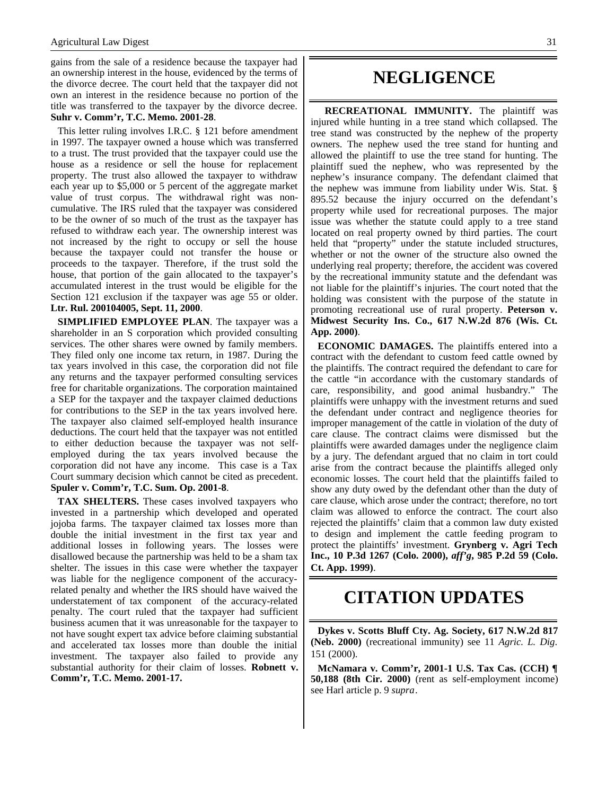gains from the sale of a residence because the taxpayer had an ownership interest in the house, evidenced by the terms of the divorce decree. The court held that the taxpayer did not own an interest in the residence because no portion of the title was transferred to the taxpayer by the divorce decree. **Suhr v. Comm'r, T.C. Memo. 2001-28**.

This letter ruling involves I.R.C. § 121 before amendment in 1997. The taxpayer owned a house which was transferred to a trust. The trust provided that the taxpayer could use the house as a residence or sell the house for replacement property. The trust also allowed the taxpayer to withdraw each year up to \$5,000 or 5 percent of the aggregate market value of trust corpus. The withdrawal right was noncumulative. The IRS ruled that the taxpayer was considered to be the owner of so much of the trust as the taxpayer has refused to withdraw each year. The ownership interest was not increased by the right to occupy or sell the house because the taxpayer could not transfer the house or proceeds to the taxpayer. Therefore, if the trust sold the house, that portion of the gain allocated to the taxpayer's accumulated interest in the trust would be eligible for the Section 121 exclusion if the taxpayer was age 55 or older. **Ltr. Rul. 200104005, Sept. 11, 2000**.

**SIMPLIFIED EMPLOYEE PLAN**. The taxpayer was a shareholder in an S corporation which provided consulting services. The other shares were owned by family members. They filed only one income tax return, in 1987. During the tax years involved in this case, the corporation did not file any returns and the taxpayer performed consulting services free for charitable organizations. The corporation maintained a SEP for the taxpayer and the taxpayer claimed deductions for contributions to the SEP in the tax years involved here. The taxpayer also claimed self-employed health insurance deductions. The court held that the taxpayer was not entitled to either deduction because the taxpayer was not selfemployed during the tax years involved because the corporation did not have any income. This case is a Tax Court summary decision which cannot be cited as precedent. **Spuler v. Comm'r, T.C. Sum. Op. 2001-8**.

**TAX SHELTERS.** These cases involved taxpayers who invested in a partnership which developed and operated jojoba farms. The taxpayer claimed tax losses more than double the initial investment in the first tax year and additional losses in following years. The losses were disallowed because the partnership was held to be a sham tax shelter. The issues in this case were whether the taxpayer was liable for the negligence component of the accuracyrelated penalty and whether the IRS should have waived the understatement of tax component of the accuracy-related penalty. The court ruled that the taxpayer had sufficient business acumen that it was unreasonable for the taxpayer to not have sought expert tax advice before claiming substantial and accelerated tax losses more than double the initial investment. The taxpayer also failed to provide any substantial authority for their claim of losses. **Robnett v. Comm'r, T.C. Memo. 2001-17.**

## **NEGLIGENCE**

**RECREATIONAL IMMUNITY.** The plaintiff was injured while hunting in a tree stand which collapsed. The tree stand was constructed by the nephew of the property owners. The nephew used the tree stand for hunting and allowed the plaintiff to use the tree stand for hunting. The plaintiff sued the nephew, who was represented by the nephew's insurance company. The defendant claimed that the nephew was immune from liability under Wis. Stat. § 895.52 because the injury occurred on the defendant's property while used for recreational purposes. The major issue was whether the statute could apply to a tree stand located on real property owned by third parties. The court held that "property" under the statute included structures, whether or not the owner of the structure also owned the underlying real property; therefore, the accident was covered by the recreational immunity statute and the defendant was not liable for the plaintiff's injuries. The court noted that the holding was consistent with the purpose of the statute in promoting recreational use of rural property. **Peterson v. Midwest Security Ins. Co., 617 N.W.2d 876 (Wis. Ct. App. 2000)**.

**ECONOMIC DAMAGES.** The plaintiffs entered into a contract with the defendant to custom feed cattle owned by the plaintiffs. The contract required the defendant to care for the cattle "in accordance with the customary standards of care, responsibility, and good animal husbandry." The plaintiffs were unhappy with the investment returns and sued the defendant under contract and negligence theories for improper management of the cattle in violation of the duty of care clause. The contract claims were dismissed but the plaintiffs were awarded damages under the negligence claim by a jury. The defendant argued that no claim in tort could arise from the contract because the plaintiffs alleged only economic losses. The court held that the plaintiffs failed to show any duty owed by the defendant other than the duty of care clause, which arose under the contract; therefore, no tort claim was allowed to enforce the contract. The court also rejected the plaintiffs' claim that a common law duty existed to design and implement the cattle feeding program to protect the plaintiffs' investment. **Grynberg v. Agri Tech Inc., 10 P.3d 1267 (Colo. 2000),** *aff'g***, 985 P.2d 59 (Colo. Ct. App. 1999)**.

### **CITATION UPDATES**

**Dykes v. Scotts Bluff Cty. Ag. Society, 617 N.W.2d 817 (Neb. 2000)** (recreational immunity) see 11 *Agric. L. Dig*. 151 (2000).

**McNamara v. Comm'r, 2001-1 U.S. Tax Cas. (CCH) ¶ 50,188 (8th Cir. 2000)** (rent as self-employment income) see Harl article p. 9 *supra*.